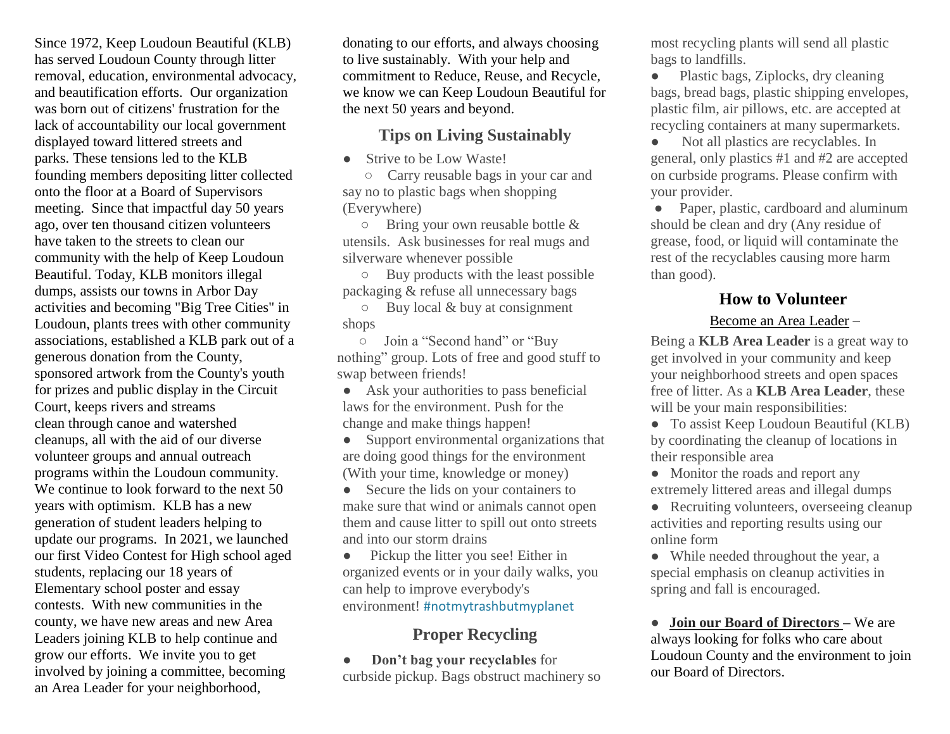Since 1972, Keep Loudoun Beautiful (KLB) has served Loudoun County through litter removal, education, environmental advocacy, and beautification efforts. Our organization was born out of citizens' frustration for the lack of accountability our local government displayed toward littered streets and parks. These tensions led to the KLB founding members depositing litter collected onto the floor at a Board of Supervisors meeting. Since that impactful day 50 years ago, over ten thousand citizen volunteers have taken to the streets to clean our community with the help of Keep Loudoun Beautiful. Today, KLB monitors illegal dumps, assists our towns in Arbor Day activities and becoming "Big Tree Cities" in Loudoun, plants trees with other community associations, established a KLB park out of a generous donation from the County, sponsored artwork from the County's youth for prizes and public display in the Circuit Court, keeps rivers and streams clean through canoe and watershed cleanups, all with the aid of our diverse volunteer groups and annual outreach programs within the Loudoun community. We continue to look forward to the next 50 years with optimism. KLB has a new generation of student leaders helping to update our programs. In 2021, we launched our first Video Contest for High school aged students, replacing our 18 years of Elementary school poster and essay contests. With new communities in the county, we have new areas and new Area Leaders joining KLB to help continue and grow our efforts. We invite you to get involved by joining a committee, becoming an Area Leader for your neighborhood,

donating to our efforts, and always choosing to live sustainably. With your help and commitment to Reduce, Reuse, and Recycle, we know we can Keep Loudoun Beautiful for the next 50 years and beyond.

#### **Tips on Living Sustainably**

• Strive to be Low Waste!

 ○ Carry reusable bags in your car and say no to plastic bags when shopping (Everywhere)

 $\circ$  Bring your own reusable bottle & utensils. Ask businesses for real mugs and silverware whenever possible

 ○ Buy products with the least possible packaging & refuse all unnecessary bags

 ○ Buy local & buy at consignment shops

 ○ Join a "Second hand" or "Buy nothing" group. Lots of free and good stuff to swap between friends!

● Ask your authorities to pass beneficial laws for the environment. Push for the change and make things happen!

● Support environmental organizations that are doing good things for the environment (With your time, knowledge or money)

• Secure the lids on your containers to make sure that wind or animals cannot open them and cause litter to spill out onto streets and into our storm drains

• Pickup the litter you see! Either in organized events or in your daily walks, you can help to improve everybody's environment! #notmytrashbutmyplanet

### **Proper Recycling**

● **Don't bag your recyclables** for curbside pickup. Bags obstruct machinery so most recycling plants will send all plastic bags to landfills.

• Plastic bags, Ziplocks, dry cleaning bags, bread bags, plastic shipping envelopes, plastic film, air pillows, etc. are accepted at recycling containers at many supermarkets.

• Not all plastics are recyclables. In general, only plastics #1 and #2 are accepted on curbside programs. Please confirm with your provider.

• Paper, plastic, cardboard and aluminum should be clean and dry (Any residue of grease, food, or liquid will contaminate the rest of the recyclables causing more harm than good).

## **How to Volunteer**

#### Become an Area Leader –

Being a **KLB Area Leader** is a great way to get involved in your community and keep your neighborhood streets and open spaces free of litter. As a **KLB Area Leader**, these will be your main responsibilities:

• To assist Keep Loudoun Beautiful (KLB) by coordinating the cleanup of locations in their responsible area

• Monitor the roads and report any extremely littered areas and illegal dumps

• Recruiting volunteers, overseeing cleanup activities and reporting results using our online form

• While needed throughout the year, a special emphasis on cleanup activities in spring and fall is encouraged.

**● Join our Board of Directors –** We are always looking for folks who care about Loudoun County and the environment to join our Board of Directors.